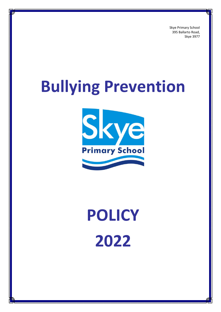Skye Primary School 395 Ballarto Road, Skye 3977

# **Bullying Prevention**



# **POLICY 2022**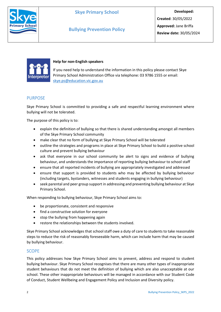

**Bullying Prevention Policy**



#### **Help for non-English speakers**

If you need help to understand the information in this policy please contact Skye Primary School Administration Office via telephone: 03 9786 1555 or email: [skye.ps@education.vic.gov.au](mailto:skye.ps@education.vic.gov.au)

#### PURPOSE

Skye Primary School is committed to providing a safe and respectful learning environment where bullying will not be tolerated.

The purpose of this policy is to:

- explain the definition of bullying so that there is shared understanding amongst all members of the Skye Primary School community
- make clear that no form of bullying at Skye Primary School will be tolerated
- outline the strategies and programs in place at Skye Primary School to build a positive school culture and prevent bullying behaviour
- ask that everyone in our school community be alert to signs and evidence of bullying behaviour, and understands the importance of reporting bullying behaviour to school staff
- ensure that all reported incidents of bullying are appropriately investigated and addressed
- ensure that support is provided to students who may be affected by bullying behaviour (including targets, bystanders, witnesses and students engaging in bullying behaviour)
- seek parental and peer group support in addressing and preventing bullying behaviour at Skye Primary School.

When responding to bullying behaviour, Skye Primary School aims to:

- be proportionate, consistent and responsive
- find a constructive solution for everyone
- stop the bullying from happening again
- restore the relationships between the students involved.

Skye Primary School acknowledges that school staff owe a duty of care to students to take reasonable steps to reduce the risk of reasonably foreseeable harm, which can include harm that may be caused by bullying behaviour.

#### SCOPE

This policy addresses how Skye Primary School aims to prevent, address and respond to student bullying behaviour. Skye Primary School recognises that there are many other types of inappropriate student behaviours that do not meet the definition of bullying which are also unacceptable at our school. These other inappropriate behaviours will be managed in accordance with our Student Code of Conduct, Student Wellbeing and Engagement Policy and Inclusion and Diversity policy.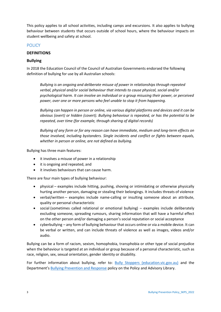This policy applies to all school activities, including camps and excursions. It also applies to bullying behaviour between students that occurs outside of school hours, where the behaviour impacts on student wellbeing and safety at school.

#### **POLICY**

#### **DEFINITIONS**

#### **Bullying**

In 2018 the Education Council of the Council of Australian Governments endorsed the following definition of bullying for use by all Australian schools:

*Bullying is an ongoing and deliberate misuse of power in relationships through repeated verbal, physical and/or social behaviour that intends to cause physical, social and/or psychological harm. It can involve an individual or a group misusing their power, or perceived power, over one or more persons who feel unable to stop it from happening.*

*Bullying can happen in person or online, via various digital platforms and devices and it can be obvious (overt) or hidden (covert). Bullying behaviour is repeated, or has the potential to be repeated, over time (for example, through sharing of digital records)*

*Bullying of any form or for any reason can have immediate, medium and long-term effects on those involved, including bystanders. Single incidents and conflict or fights between equals, whether in person or online, are not defined as bullying.*

Bullying has three main features:

- it involves a misuse of power in a relationship
- it is ongoing and repeated, and
- it involves behaviours that can cause harm.

There are four main types of bullying behaviour:

- physical examples include hitting, pushing, shoving or intimidating or otherwise physically hurting another person, damaging or stealing their belongings. It includes threats of violence
- verbal/written examples include name-calling or insulting someone about an attribute, quality or personal characteristic
- social (sometimes called relational or emotional bullying) examples include deliberately excluding someone, spreading rumours, sharing information that will have a harmful effect on the other person and/or damaging a person's social reputation or social acceptance
- cyberbullying any form of bullying behaviour that occurs online or via a mobile device. It can be verbal or written, and can include threats of violence as well as images, videos and/or audio.

Bullying can be a form of racism, sexism, homophobia, transphobia or other type of social prejudice when the behaviour is targeted at an individual or group because of a personal characteristic, such as race, religion, sex, sexual orientation, gender identity or disability.

For further information about bullying, refer to: [Bully Stoppers \(education.vic.gov.au\)](https://www.education.vic.gov.au/about/programs/bullystoppers/Pages/default.aspx) and the Department's [Bullying Prevention and Response](https://www2.education.vic.gov.au/pal/bullying-prevention-response/policy) policy on the Policy and Advisory Library.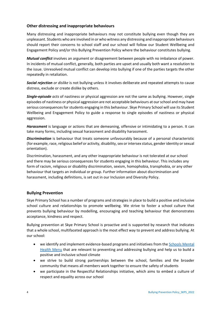#### **Other distressing and inappropriate behaviours**

Many distressing and inappropriate behaviours may not constitute bullying even though they are unpleasant. Students who are involved in or who witness any distressing and inappropriate behaviours should report their concerns to school staff and our school will follow our Student Wellbeing and Engagement Policy and/or this Bullying Prevention Policy where the behaviour constitutes bullying.

*Mutual conflict* involves an argument or disagreement between people with no imbalance of power. In incidents of mutual conflict, generally, both parties are upset and usually both want a resolution to the issue. Unresolved mutual conflict can develop into bullying if one of the parties targets the other repeatedly in retaliation.

*Social rejection or dislike* is not bullying unless it involves deliberate and repeated attempts to cause distress, exclude or create dislike by others.

*Single-episode acts* of nastiness or physical aggression are not the same as bullying. However, single episodes of nastiness or physical aggression are not acceptable behaviours at our school and may have serious consequences for students engaging in this behaviour. Skye Primary School will use its Student Wellbeing and Engagement Policy to guide a response to single episodes of nastiness or physical aggression.

*Harassment* is language or actions that are demeaning, offensive or intimidating to a person. It can take many forms, including sexual harassment and disability harassment.

*Discrimination* is behaviour that treats someone unfavourably because of a personal characteristic (for example, race, religious belief or activity, disability, sex or intersex status, gender identity or sexual orientation).

Discrimination, harassment, and any other inappropriate behaviour is not tolerated at our school and there may be serious consequences for students engaging in this behaviour. This includes any form of racism, religious or disability discrimination, sexism, homophobia, transphobia, or any other behaviour that targets an individual or group. Further information about discrimination and harassment, including definitions, is set out in our Inclusion and Diversity Policy.

#### **Bullying Prevention**

Skye Primary School has a number of programs and strategies in place to build a positive and inclusive school culture and relationships to promote wellbeing. We strive to foster a school culture that prevents bullying behaviour by modelling, encouraging and teaching behaviour that demonstrates acceptance, kindness and respect.

Bullying prevention at Skye Primary School is proactive and is supported by research that indicates that a whole school, multifaceted approach is the most effect way to prevent and address bullying. At our school:

- we identify and implement evidence-based programs and initiatives from the [Schools Mental](https://www.education.vic.gov.au/school/teachers/health/mentalhealth/mental-health-menu/Pages/Menu.aspx?Redirect=1)  [Health Menu](https://www.education.vic.gov.au/school/teachers/health/mentalhealth/mental-health-menu/Pages/Menu.aspx?Redirect=1) that are relevant to preventing and addressing bullying and help us to build a positive and inclusive school climate
- we strive to build strong partnerships between the school, families and the broader community that means all members work together to ensure the safety of students
- we participate in the Respectful Relationships initiative, which aims to embed a culture of respect and equality across our school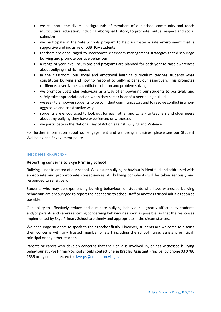- we celebrate the diverse backgrounds of members of our school community and teach multicultural education, including Aboriginal History, to promote mutual respect and social cohesion
- we participate in the Safe Schools program to help us foster a safe environment that is supportive and inclusive of LGBTIQ+ students
- teachers are encouraged to incorporate classroom management strategies that discourage bullying and promote positive behaviour
- a range of year level incursions and programs are planned for each year to raise awareness about bullying and its impacts
- in the classroom, our social and emotional learning curriculum teaches students what constitutes bullying and how to respond to bullying behaviour assertively. This promotes resilience, assertiveness, conflict resolution and problem solving
- we promote upstander behaviour as a way of empowering our students to positively and safely take appropriate action when they see or hear of a peer being bullied
- we seek to empower students to be confident communicators and to resolve conflict in a nonaggressive and constructive way
- students are encouraged to look out for each other and to talk to teachers and older peers about any bullying they have experienced or witnessed
- we participate in the National Day of Action against Bullying and Violence.

For further information about our engagement and wellbeing initiatives, please see our Student Wellbeing and Engagement policy.

#### INCIDENT RESPONSE

#### **Reporting concerns to Skye Primary School**

Bullying is not tolerated at our school. We ensure bullying behaviour is identified and addressed with appropriate and proportionate consequences. All bullying complaints will be taken seriously and responded to sensitively.

Students who may be experiencing bullying behaviour, or students who have witnessed bullying behaviour, are encouraged to report their concerns to school staff or another trusted adult as soon as possible.

Our ability to effectively reduce and eliminate bullying behaviour is greatly affected by students and/or parents and carers reporting concerning behaviour as soon as possible, so that the responses implemented by Skye Primary School are timely and appropriate in the circumstances.

We encourage students to speak to their teacher firstly. However, students are welcome to discuss their concerns with any trusted member of staff including the school nurse, assistant principal, principal or any other teacher.

Parents or carers who develop concerns that their child is involved in, or has witnessed bullying behaviour at Skye Primary School should contact Cherie Bradley Assistant Principal by phone 03 9786 1555 or by email directed to [skye.ps@education.vic.gov.au](mailto:skye.ps@education.vic.gov.au)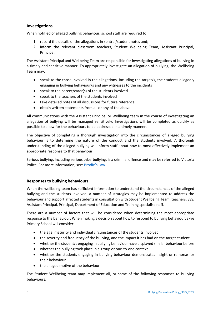#### **Investigations**

When notified of alleged bullying behaviour, school staff are required to:

- 1. record the details of the allegations in sentral/student notes and;
- 2. inform the relevant classroom teachers, Student Wellbeing Team, Assistant Principal, Principal.

The Assistant Principal and Wellbeing Team are responsible for investigating allegations of bullying in a timely and sensitive manner. To appropriately investigate an allegation of bullying, the Wellbeing Team may:

- speak to the those involved in the allegations, including the target/s, the students allegedly engaging in bullying behaviour/s and any witnesses to the incidents
- speak to the parent/carer(s) of the students involved
- speak to the teachers of the students involved
- take detailed notes of all discussions for future reference
- obtain written statements from all or any of the above.

All communications with the Assistant Principal or Wellbeing team in the course of investigating an allegation of bullying will be managed sensitively. Investigations will be completed as quickly as possible to allow for the behaviours to be addressed in a timely manner.

The objective of completing a thorough investigation into the circumstances of alleged bullying behaviour is to determine the nature of the conduct and the students involved. A thorough understanding of the alleged bullying will inform staff about how to most effectively implement an appropriate response to that behaviour.

Serious bullying, including serious cyberbullying, is a criminal offence and may be referred to Victoria Police. For more information, see: [Brodie's Law.](http://www.education.vic.gov.au/about/programs/bullystoppers/Pages/advicesheetbrodieslaw.aspx)

#### **Responses to bullying behaviours**

When the wellbeing team has sufficient information to understand the circumstances of the alleged bullying and the students involved, a number of strategies may be implemented to address the behaviour and support affected students in consultation with Student Wellbeing Team, teachers, SSS, Assistant Principal, Principal, Department of Education and Training specialist staff.

There are a number of factors that will be considered when determining the most appropriate response to the behaviour. When making a decision about how to respond to bullying behaviour, Skye Primary School will consider:

- the age, maturity and individual circumstances of the students involved
- the severity and frequency of the bullying, and the impact it has had on the target student
- whether the student/s engaging in bullying behaviour have displayed similar behaviour before
- whether the bullying took place in a group or one-to-one context
- whether the students engaging in bullying behaviour demonstrates insight or remorse for their behaviour
- the alleged motive of the behaviour.

The Student Wellbeing team may implement all, or some of the following responses to bullying behaviours: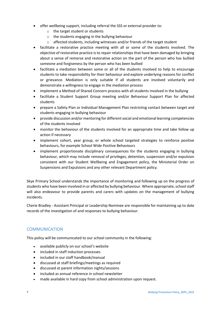- offer wellbeing support, including referral the SSS or external provider to:
	- o the target student or students
	- o the students engaging in the bullying behaviour
	- o affected students, including witnesses and/or friends of the target student
- facilitate a restorative practice meeting with all or some of the students involved. The objective of restorative practice is to repair relationships that have been damaged by bringing about a sense of remorse and restorative action on the part of the person who has bullied someone and forgiveness by the person who has been bullied
- facilitate a mediation between some or all of the students involved to help to encourage students to take responsibility for their behaviour and explore underlying reasons for conflict or grievance. Mediation is only suitable if all students are involved voluntarily and demonstrate a willingness to engage in the mediation process
- implement a Method of Shared Concern process with all students involved in the bullying
- facilitate a Student Support Group meeting and/or Behaviour Support Plan for affected students
- prepare a Safety Plan or Individual Management Plan restricting contact between target and students engaging in bullying behaviour
- provide discussion and/or mentoring for different social and emotional learning competencies of the students involved
- monitor the behaviour of the students involved for an appropriate time and take follow up action if necessary
- implement cohort, year group, or whole school targeted strategies to reinforce positive behaviours, for example School Wide Positive Behaviours
- implement proportionate disciplinary consequences for the students engaging in bullying behaviour, which may include removal of privileges, detention, suspension and/or expulsion consistent with our Student Wellbeing and Engagement policy, the Ministerial Order on Suspensions and Expulsions and any other relevant Department policy.

Skye Primary School understands the importance of monitoring and following up on the progress of students who have been involved in or affected by bullying behaviour. Where appropriate, school staff will also endeavour to provide parents and carers with updates on the management of bullying incidents.

Cherie Bradley - Assistant Principal or Leadership Nominee are responsible for maintaining up to date records of the investigation of and responses to bullying behaviour.

#### **COMMUNICATION**

This policy will be communicated to our school community in the following:

- available publicly on our school's website
- included in staff induction processes
- included in our staff handbook/manual
- discussed at staff briefings/meetings as required
- discussed at parent information nights/sessions
- included as annual reference in school newsletter
- made available in hard copy from school administration upon request.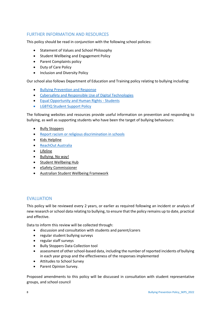### FURTHER INFORMATION AND RESOURCES

This policy should be read in conjunction with the following school policies:

- Statement of Values and School Philosophy
- Student Wellbeing and Engagement Policy
- Parent Complaints policy
- Duty of Care Policy
- Inclusion and Diversity Policy

Our school also follows Department of Education and Training policy relating to bullying including:

- [Bullying Prevention and Response](https://www2.education.vic.gov.au/pal/bullying-prevention-response/policy)
- [Cybersafety and Responsible Use of](https://www2.education.vic.gov.au/pal/cybersafety/policy) Digital Technologies
- [Equal Opportunity and Human Rights -](https://www2.education.vic.gov.au/pal/equal-opportunity-human-rights-students/policy) Students
- [LGBTIQ Student Support Policy](https://www2.education.vic.gov.au/pal/lgbtiq-student-support/policy)

The following websites and resources provide useful information on prevention and responding to bullying, as well as supporting students who have been the target of bullying behaviours:

- [Bully Stoppers](https://www.education.vic.gov.au/about/programs/bullystoppers/Pages/default.aspx)
- [Report racism or religious discrimination in schools](https://www.vic.gov.au/report-racism-or-religious-discrimination-schools)
- Kids [Helpline](https://kidshelpline.com.au/)
- [ReachOut Australia](https://au.reachout.com/)
- [Lifeline](https://www.lifeline.org.au/)
- [Bullying. No way!](https://bullyingnoway.gov.au/)
- [Student Wellbeing Hub](https://www.studentwellbeinghub.edu.au/)
- [eSafety Commissioner](https://www.esafety.gov.au/)
- [Australian Student Wellbeing Framework](https://studentwellbeinghub.edu.au/educators/resources/australian-student-wellbeing-framework/)

#### EVALUATION

This policy will be reviewed every 2 years, or earlier as required following an incident or analysis of new research or school data relating to bullying, to ensure that the policy remains up to date, practical and effective.

Data to inform this review will be collected through:

- discussion and consultation with students and parent/carers
- regular student bullying surveys
- regular staff surveys
- Bully Stoppers Data Collection tool
- assessment of other school-based data, including the number of reported incidents of bullying in each year group and the effectiveness of the responses implemented
- Attitudes to School Survey
- Parent Opinion Survey.

Proposed amendments to this policy will be discussed in consultation with student representative groups, and school council